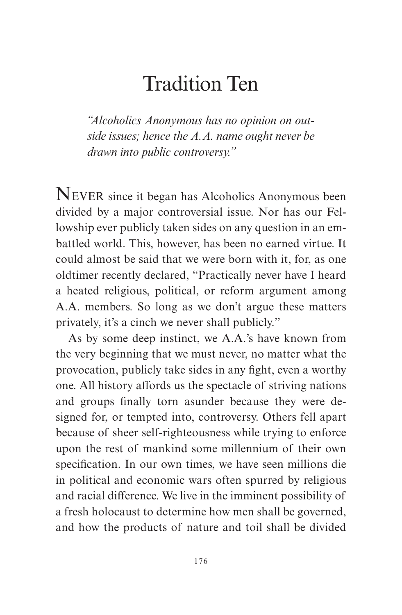## Tradition Ten

*"Alcoholics Anonymous has no opinion on outside issues; hence the A.A. name ought never be drawn into public controversy."*

NEVER since it began has Alcoholics Anonymous been divided by a major controversial issue. Nor has our Fellowship ever publicly taken sides on any question in an embattled world. This, however, has been no earned virtue. It could almost be said that we were born with it, for, as one oldtimer recently declared, "Practically never have I heard a heated religious, political, or reform argument among A.A. members. So long as we don't argue these matters privately, it's a cinch we never shall publicly."

As by some deep instinct, we A.A.'s have known from the very beginning that we must never, no matter what the provocation, publicly take sides in any fight, even a worthy one. All history affords us the spectacle of striving nations and groups finally torn asunder because they were designed for, or tempted into, controversy. Others fell apart because of sheer self-righteousness while trying to enforce upon the rest of mankind some millennium of their own specification. In our own times, we have seen millions die in political and economic wars often spurred by religious and racial difference. We live in the imminent possibility of a fresh holocaust to determine how men shall be governed, and how the products of nature and toil shall be divided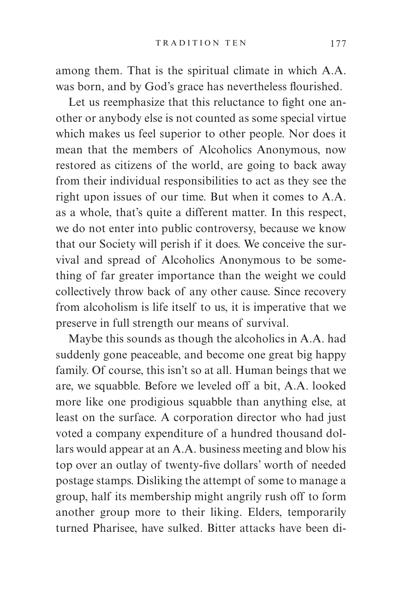among them. That is the spiritual climate in which A.A. was born, and by God's grace has nevertheless flourished.

Let us reemphasize that this reluctance to fight one another or anybody else is not counted as some special virtue which makes us feel superior to other people. Nor does it mean that the members of Alcoholics Anonymous, now restored as citizens of the world, are going to back away from their individual responsibilities to act as they see the right upon issues of our time. But when it comes to A.A. as a whole, that's quite a different matter. In this respect, we do not enter into public controversy, because we know that our Society will perish if it does. We conceive the survival and spread of Alcoholics Anonymous to be something of far greater importance than the weight we could collectively throw back of any other cause. Since recovery from alcoholism is life itself to us, it is imperative that we preserve in full strength our means of survival.

Maybe this sounds as though the alcoholics in A.A. had suddenly gone peaceable, and become one great big happy family. Of course, this isn't so at all. Human beings that we are, we squabble. Before we leveled off a bit, A.A. looked more like one prodigious squabble than anything else, at least on the surface. A corporation director who had just voted a company expenditure of a hundred thousand dollars would appear at an A.A. business meeting and blow his top over an outlay of twenty-five dollars' worth of needed postage stamps. Disliking the attempt of some to manage a group, half its membership might angrily rush off to form another group more to their liking. Elders, temporarily turned Pharisee, have sulked. Bitter attacks have been di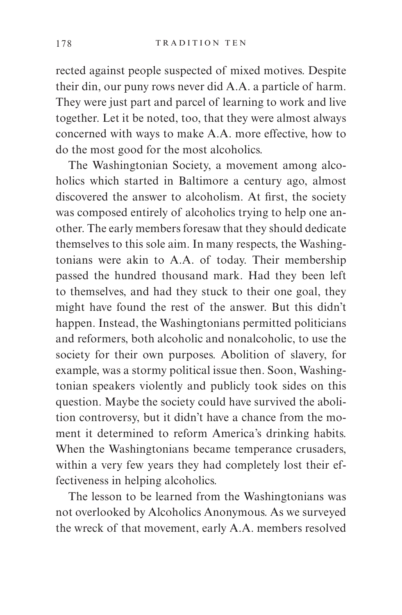rected against people suspected of mixed motives. Despite their din, our puny rows never did A.A. a particle of harm. They were just part and parcel of learning to work and live together. Let it be noted, too, that they were almost always concerned with ways to make A.A. more effective, how to do the most good for the most alcoholics.

The Washingtonian Society, a movement among alcoholics which started in Baltimore a century ago, almost discovered the answer to alcoholism. At first, the society was composed entirely of alcoholics trying to help one another. The early members foresaw that they should dedicate themselves to this sole aim. In many respects, the Washingtonians were akin to A.A. of today. Their membership passed the hundred thousand mark. Had they been left to themselves, and had they stuck to their one goal, they might have found the rest of the answer. But this didn't happen. Instead, the Washingtonians permitted politicians and reformers, both alcoholic and nonalcoholic, to use the society for their own purposes. Abolition of slavery, for example, was a stormy political issue then. Soon, Washingtonian speakers violently and publicly took sides on this question. Maybe the society could have survived the abolition controversy, but it didn't have a chance from the moment it determined to reform America's drinking habits. When the Washingtonians became temperance crusaders, within a very few years they had completely lost their effectiveness in helping alcoholics.

The lesson to be learned from the Washingtonians was not overlooked by Alcoholics Anonymous. As we surveyed the wreck of that movement, early A.A. members resolved